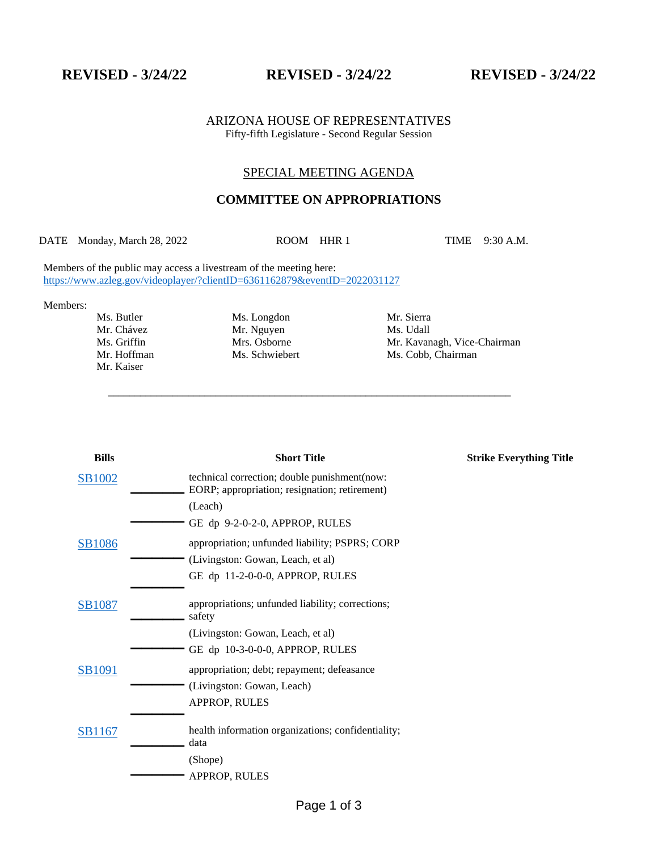**REVISED - 3/24/22 REVISED - 3/24/22 REVISED - 3/24/22**

ARIZONA HOUSE OF REPRESENTATIVES Fifty-fifth Legislature - Second Regular Session

## SPECIAL MEETING AGENDA

## **COMMITTEE ON APPROPRIATIONS**

DATE Monday, March 28, 2022 ROOM HHR 1 TIME 9:30 A.M.

\_\_\_\_\_\_\_\_\_\_\_\_\_\_\_\_\_\_\_\_\_\_\_\_\_\_\_\_\_\_\_\_\_\_\_\_\_\_\_\_\_\_\_\_\_\_\_\_\_\_\_\_\_\_\_\_\_\_\_\_\_\_\_\_\_\_\_\_\_\_\_\_\_\_\_

Members of the public may access a livestream of the meeting here: <https://www.azleg.gov/videoplayer/?clientID=6361162879&eventID=2022031127>

Members:

Mr. Kaiser

Ms. Butler Ms. Longdon Mr. Sierra Mr. Chávez Mr. Nguyen Ms. Udall Ms. Griffin Mrs. Osborne Mrs. Osborne Mr. Kavan

Ms. Griffin Mrs. Osborne Mrs. Mr. Kavanagh, Vice-Chairman<br>Mr. Hoffman Ms. Schwiebert Ms. Cobb, Chairman Ms. Cobb, Chairman

| <b>Bills</b>  | <b>Short Title</b>                                                                            | <b>Strike Everything Title</b> |
|---------------|-----------------------------------------------------------------------------------------------|--------------------------------|
| <b>SB1002</b> | technical correction; double punishment(now:<br>EORP; appropriation; resignation; retirement) |                                |
|               | (Leach)                                                                                       |                                |
|               | GE dp 9-2-0-2-0, APPROP, RULES                                                                |                                |
| <b>SB1086</b> | appropriation; unfunded liability; PSPRS; CORP                                                |                                |
|               | (Livingston: Gowan, Leach, et al)                                                             |                                |
|               | GE dp 11-2-0-0-0, APPROP, RULES                                                               |                                |
| SB1087        | appropriations; unfunded liability; corrections;<br>safety                                    |                                |
|               | (Livingston: Gowan, Leach, et al)                                                             |                                |
|               | GE dp 10-3-0-0-0, APPROP, RULES                                                               |                                |
| <b>SB1091</b> | appropriation; debt; repayment; defeasance                                                    |                                |
|               | (Livingston: Gowan, Leach)                                                                    |                                |
|               | APPROP, RULES                                                                                 |                                |
| <b>SB1167</b> | health information organizations; confidentiality;<br>data                                    |                                |
|               | (Shope)                                                                                       |                                |
|               | APPROP, RULES                                                                                 |                                |
|               |                                                                                               |                                |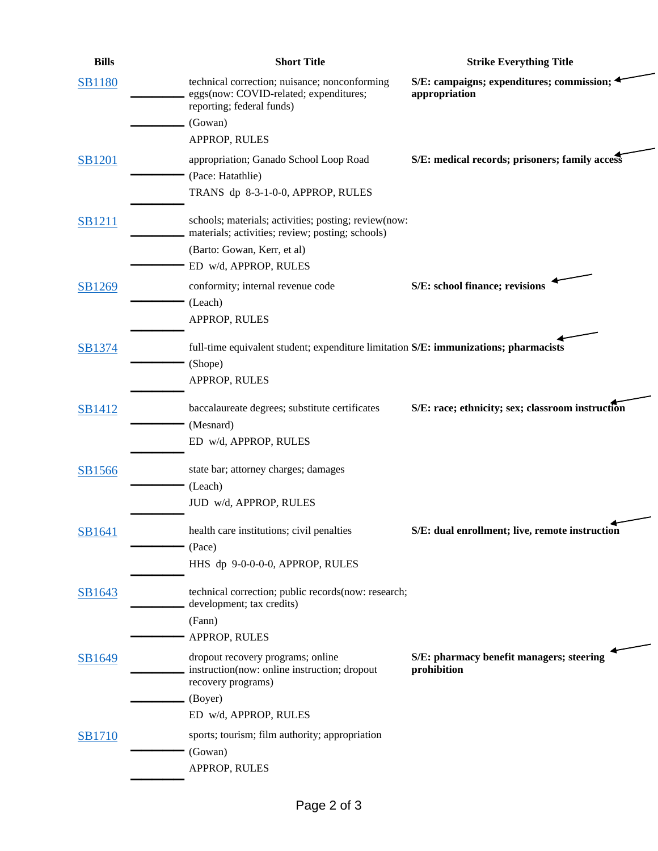| <b>Bills</b>  | <b>Short Title</b>                                                                                                   | <b>Strike Everything Title</b>                               |
|---------------|----------------------------------------------------------------------------------------------------------------------|--------------------------------------------------------------|
| <b>SB1180</b> | technical correction; nuisance; nonconforming<br>eggs(now: COVID-related; expenditures;<br>reporting; federal funds) | S/E: campaigns; expenditures; commission; 4<br>appropriation |
|               | (Gowan)                                                                                                              |                                                              |
|               | APPROP, RULES                                                                                                        |                                                              |
| <b>SB1201</b> | appropriation; Ganado School Loop Road<br>(Pace: Hatathlie)                                                          | S/E: medical records; prisoners; family access               |
|               | TRANS dp 8-3-1-0-0, APPROP, RULES                                                                                    |                                                              |
| <b>SB1211</b> | schools; materials; activities; posting; review(now:<br>materials; activities; review; posting; schools)             |                                                              |
|               | (Barto: Gowan, Kerr, et al)                                                                                          |                                                              |
|               | ED w/d, APPROP, RULES                                                                                                |                                                              |
| SB1269        | conformity; internal revenue code                                                                                    | S/E: school finance; revisions                               |
|               | (Leach)                                                                                                              |                                                              |
|               | APPROP, RULES                                                                                                        |                                                              |
|               |                                                                                                                      |                                                              |
| SB1374        | full-time equivalent student; expenditure limitation S/E: immunizations; pharmacists                                 |                                                              |
|               | (Shope)                                                                                                              |                                                              |
|               | APPROP, RULES                                                                                                        |                                                              |
| SB1412        | baccalaureate degrees; substitute certificates                                                                       | S/E: race; ethnicity; sex; classroom instruction             |
|               | (Mesnard)                                                                                                            |                                                              |
|               | ED w/d, APPROP, RULES                                                                                                |                                                              |
|               |                                                                                                                      |                                                              |
| SB1566        | state bar; attorney charges; damages                                                                                 |                                                              |
|               | (Leach)                                                                                                              |                                                              |
|               | JUD w/d, APPROP, RULES                                                                                               |                                                              |
|               | health care institutions; civil penalties                                                                            | S/E: dual enrollment; live, remote instruction               |
| SB1641        | (Pace)                                                                                                               |                                                              |
|               | HHS dp 9-0-0-0-0, APPROP, RULES                                                                                      |                                                              |
|               |                                                                                                                      |                                                              |
| SB1643        | technical correction; public records(now: research;                                                                  |                                                              |
|               | development; tax credits)                                                                                            |                                                              |
|               | (Fann)                                                                                                               |                                                              |
|               | APPROP, RULES                                                                                                        |                                                              |
| SB1649        | dropout recovery programs; online<br>instruction(now: online instruction; dropout<br>recovery programs)              | S/E: pharmacy benefit managers; steering<br>prohibition      |
|               | (Boyer)                                                                                                              |                                                              |
|               | ED w/d, APPROP, RULES                                                                                                |                                                              |
| SB1710        | sports; tourism; film authority; appropriation                                                                       |                                                              |
|               | (Gowan)                                                                                                              |                                                              |
|               | APPROP, RULES                                                                                                        |                                                              |
|               |                                                                                                                      |                                                              |